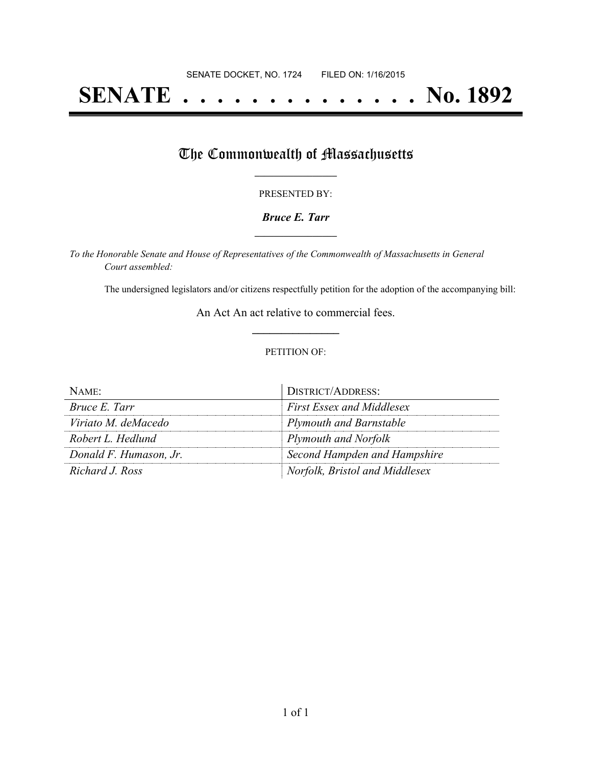# **SENATE . . . . . . . . . . . . . . No. 1892**

## The Commonwealth of Massachusetts

#### PRESENTED BY:

### *Bruce E. Tarr* **\_\_\_\_\_\_\_\_\_\_\_\_\_\_\_\_\_**

*To the Honorable Senate and House of Representatives of the Commonwealth of Massachusetts in General Court assembled:*

The undersigned legislators and/or citizens respectfully petition for the adoption of the accompanying bill:

An Act An act relative to commercial fees. **\_\_\_\_\_\_\_\_\_\_\_\_\_\_\_**

### PETITION OF:

| NAME:                  | <b>DISTRICT/ADDRESS:</b>         |
|------------------------|----------------------------------|
| Bruce E. Tarr          | <b>First Essex and Middlesex</b> |
| Viriato M. deMacedo    | <b>Plymouth and Barnstable</b>   |
| Robert L. Hedlund      | Plymouth and Norfolk             |
| Donald F. Humason, Jr. | Second Hampden and Hampshire     |
| Richard J. Ross        | Norfolk, Bristol and Middlesex   |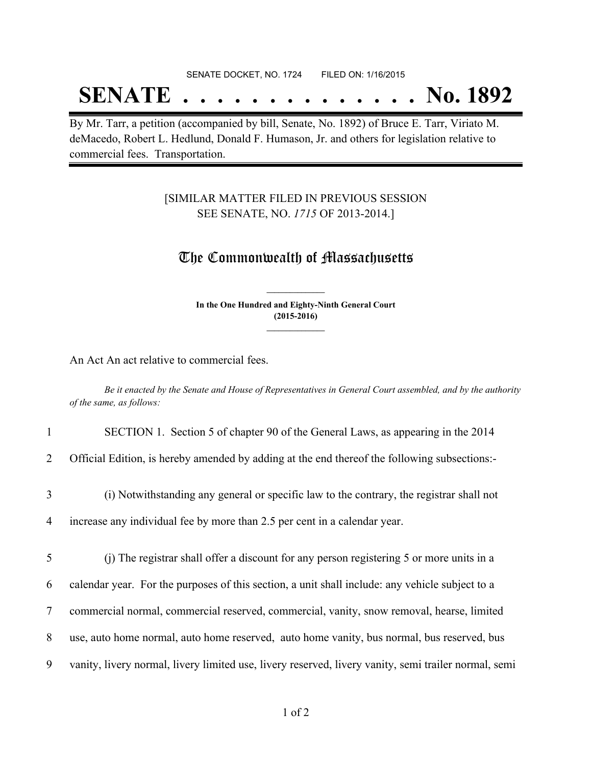### SENATE DOCKET, NO. 1724 FILED ON: 1/16/2015

## **SENATE . . . . . . . . . . . . . . No. 1892**

By Mr. Tarr, a petition (accompanied by bill, Senate, No. 1892) of Bruce E. Tarr, Viriato M. deMacedo, Robert L. Hedlund, Donald F. Humason, Jr. and others for legislation relative to commercial fees. Transportation.

## [SIMILAR MATTER FILED IN PREVIOUS SESSION SEE SENATE, NO. *1715* OF 2013-2014.]

## The Commonwealth of Massachusetts

**In the One Hundred and Eighty-Ninth General Court (2015-2016) \_\_\_\_\_\_\_\_\_\_\_\_\_\_\_**

**\_\_\_\_\_\_\_\_\_\_\_\_\_\_\_**

An Act An act relative to commercial fees.

Be it enacted by the Senate and House of Representatives in General Court assembled, and by the authority *of the same, as follows:*

#### 1 SECTION 1. Section 5 of chapter 90 of the General Laws, as appearing in the 2014

2 Official Edition, is hereby amended by adding at the end thereof the following subsections:-

## 3 (i) Notwithstanding any general or specific law to the contrary, the registrar shall not

4 increase any individual fee by more than 2.5 per cent in a calendar year.

 (j) The registrar shall offer a discount for any person registering 5 or more units in a calendar year. For the purposes of this section, a unit shall include: any vehicle subject to a commercial normal, commercial reserved, commercial, vanity, snow removal, hearse, limited use, auto home normal, auto home reserved, auto home vanity, bus normal, bus reserved, bus vanity, livery normal, livery limited use, livery reserved, livery vanity, semi trailer normal, semi